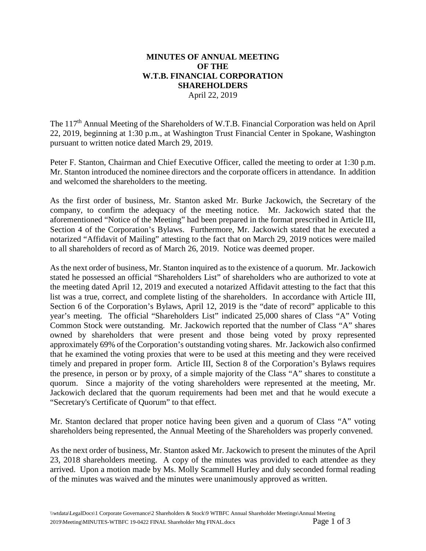## **MINUTES OF ANNUAL MEETING OF THE W.T.B. FINANCIAL CORPORATION SHAREHOLDERS**  April 22, 2019

The 117<sup>th</sup> Annual Meeting of the Shareholders of W.T.B. Financial Corporation was held on April 22, 2019, beginning at 1:30 p.m., at Washington Trust Financial Center in Spokane, Washington pursuant to written notice dated March 29, 2019.

 Peter F. Stanton, Chairman and Chief Executive Officer, called the meeting to order at 1:30 p.m. Mr. Stanton introduced the nominee directors and the corporate officers in attendance. In addition and welcomed the shareholders to the meeting.

 As the first order of business, Mr. Stanton asked Mr. Burke Jackowich, the Secretary of the company, to confirm the adequacy of the meeting notice. Mr. Jackowich stated that the aforementioned "Notice of the Meeting" had been prepared in the format prescribed in Article III, Section 4 of the Corporation's Bylaws. Furthermore, Mr. Jackowich stated that he executed a notarized "Affidavit of Mailing" attesting to the fact that on March 29, 2019 notices were mailed to all shareholders of record as of March 26, 2019. Notice was deemed proper.

 As the next order of business, Mr. Stanton inquired as to the existence of a quorum. Mr. Jackowich stated he possessed an official "Shareholders List" of shareholders who are authorized to vote at the meeting dated April 12, 2019 and executed a notarized Affidavit attesting to the fact that this list was a true, correct, and complete listing of the shareholders. In accordance with Article III, Section 6 of the Corporation's Bylaws, April 12, 2019 is the "date of record" applicable to this year's meeting. The official "Shareholders List" indicated 25,000 shares of Class "A" Voting Common Stock were outstanding. Mr. Jackowich reported that the number of Class "A" shares owned by shareholders that were present and those being voted by proxy represented approximately 69% of the Corporation's outstanding voting shares. Mr. Jackowich also confirmed that he examined the voting proxies that were to be used at this meeting and they were received timely and prepared in proper form. Article III, Section 8 of the Corporation's Bylaws requires the presence, in person or by proxy, of a simple majority of the Class "A" shares to constitute a quorum. Since a majority of the voting shareholders were represented at the meeting, Mr. Jackowich declared that the quorum requirements had been met and that he would execute a "Secretary's Certificate of Quorum" to that effect.

 Mr. Stanton declared that proper notice having been given and a quorum of Class "A" voting shareholders being represented, the Annual Meeting of the Shareholders was properly convened.

 As the next order of business, Mr. Stanton asked Mr. Jackowich to present the minutes of the April 23, 2018 shareholders meeting. A copy of the minutes was provided to each attendee as they arrived. Upon a motion made by Ms. Molly Scammell Hurley and duly seconded formal reading of the minutes was waived and the minutes were unanimously approved as written.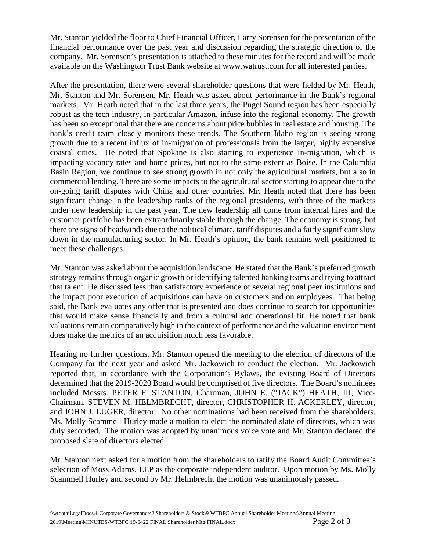Mr. Stanton yielded the floor to Chief Financial Officer, Larry Sorensen for the presentation of the financial performance over the past year and discussion regarding the strategic direction of the company. Mr. Sorensen's presentation is attached to these minutes for the record and will be made available on the Washington Trust Bank website at<www.watrust.com>for all interested parties.

 After the presentation, there were several shareholder questions that were fielded by Mr. Heath, Mr. Stanton and Mr. Sorensen. Mr. Heath was asked about performance in the Bank's regional markets. Mr. Heath noted that in the last three years, the Puget Sound region has been especially robust as the tech industry, in particular Amazon, infuse into the regional economy. The growth has been so exceptional that there are concerns about price bubbles in real estate and housing. The bank's credit team closely monitors these trends. The Southern Idaho region is seeing strong growth due to a recent influx of in-migration of professionals from the larger, highly expensive coastal cities. He noted that Spokane is also starting to experience in-migration, which is impacting vacancy rates and home prices, but not to the same extent as Boise. In the Columbia Basin Region, we continue to see strong growth in not only the agricultural markets, but also in commercial lending. There are some impacts to the agricultural sector starting to appear due to the on-going tariff disputes with China and other countries. Mr. Heath noted that there has been significant change in the leadership ranks of the regional presidents, with three of the markets under new leadership in the past year. The new leadership all come from internal hires and the customer portfolio has been extraordinarily stable through the change. The economy is strong, but there are signs of headwinds due to the political climate, tariff disputes and a fairly significant slow down in the manufacturing sector. In Mr. Heath's opinion, the bank remains well positioned to meet these challenges.

 Mr. Stanton was asked about the acquisition landscape. He stated that the Bank's preferred growth strategy remains through organic growth or identifying talented banking teams and trying to attract that talent. He discussed less than satisfactory experience of several regional peer institutions and the impact poor execution of acquisitions can have on customers and on employees. That being said, the Bank evaluates any offer that is presented and does continue to search for opportunities that would make sense financially and from a cultural and operational fit. He noted that bank valuations remain comparatively high in the context of performance and the valuation environment does make the metrics of an acquisition much less favorable.

 Hearing no further questions, Mr. Stanton opened the meeting to the election of directors of the Company for the next year and asked Mr. Jackowich to conduct the election. Mr. Jackowich reported that, in accordance with the Corporation's Bylaws, the existing Board of Directors determined that the 2019-2020 Board would be comprised of five directors. The Board's nominees included Messrs. PETER F. STANTON, Chairman, JOHN E. ("JACK") HEATH, III, Vice- Chairman, STEVEN M. HELMBRECHT, director, CHRISTOPHER H. ACKERLEY, director, and JOHN J. LUGER, director. No other nominations had been received from the shareholders. Ms. Molly Scammell Hurley made a motion to elect the nominated slate of directors, which was duly seconded. The motion was adopted by unanimous voice vote and Mr. Stanton declared the proposed slate of directors elected.

Mr. Stanton next asked for a motion from the shareholders to ratify the Board Audit Committee's selection of Moss Adams, LLP as the corporate independent auditor. Upon motion by Ms. Molly Scammell Hurley and second by Mr. Helmbrecht the motion was unanimously passed.